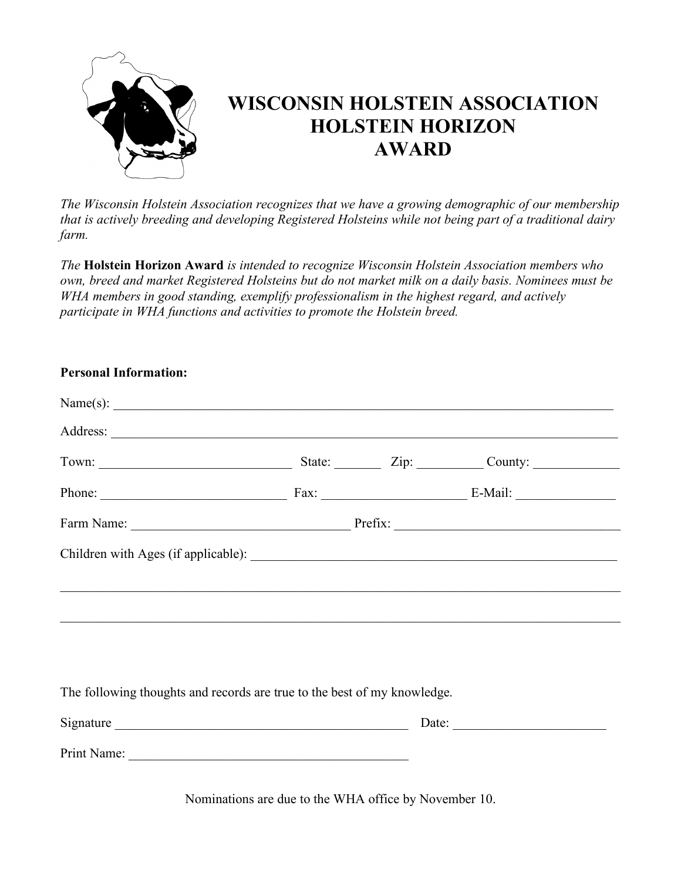

## **WISCONSIN HOLSTEIN ASSOCIATION HOLSTEIN HORIZON AWARD**

*The Wisconsin Holstein Association recognizes that we have a growing demographic of our membership that is actively breeding and developing Registered Holsteins while not being part of a traditional dairy farm.* 

*The* **Holstein Horizon Award** *is intended to recognize Wisconsin Holstein Association members who own, breed and market Registered Holsteins but do not market milk on a daily basis. Nominees must be WHA members in good standing, exemplify professionalism in the highest regard, and actively participate in WHA functions and activities to promote the Holstein breed.*

| <b>Personal Information:</b>                                             |  |  |  |
|--------------------------------------------------------------------------|--|--|--|
|                                                                          |  |  |  |
|                                                                          |  |  |  |
|                                                                          |  |  |  |
|                                                                          |  |  |  |
|                                                                          |  |  |  |
|                                                                          |  |  |  |
| The following thoughts and records are true to the best of my knowledge. |  |  |  |
|                                                                          |  |  |  |
|                                                                          |  |  |  |

Nominations are due to the WHA office by November 10.